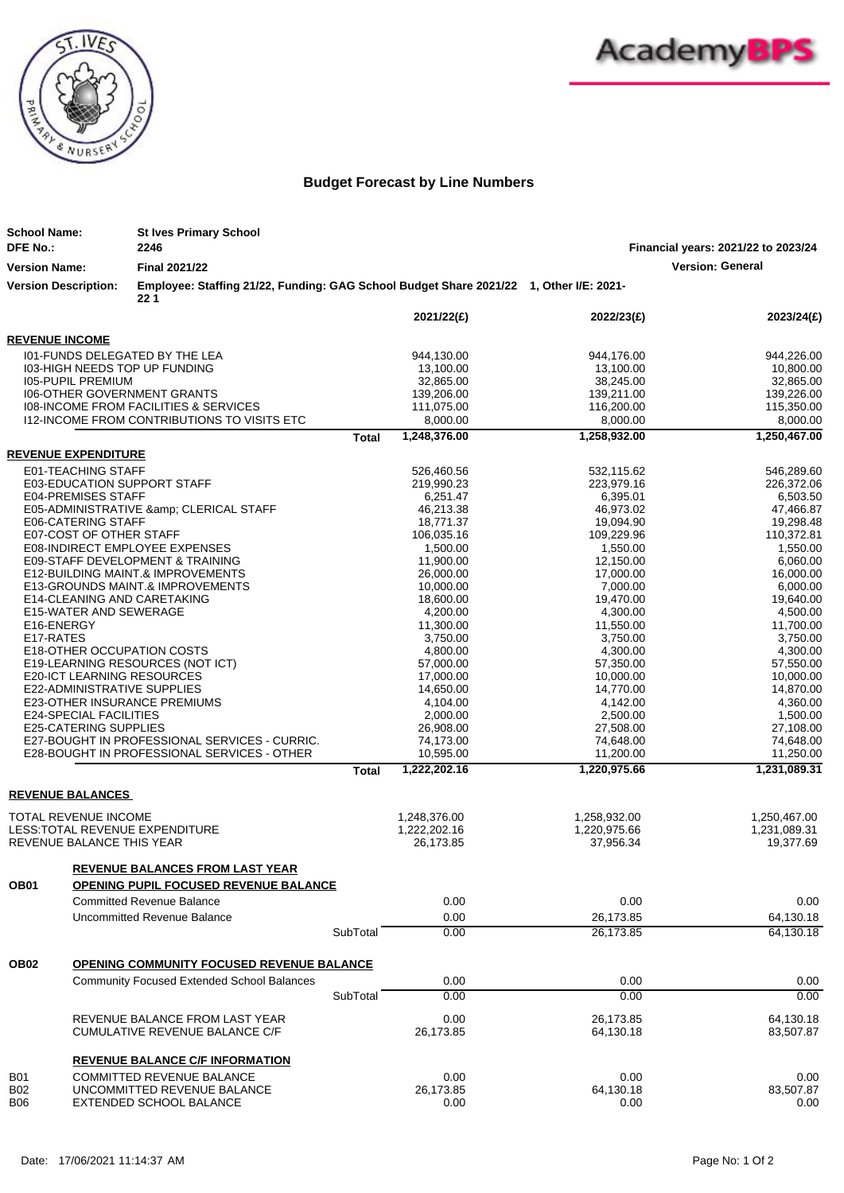



## **Budget Forecast by Line Numbers**

| <b>School Name:</b>                                                                          | <b>St Ives Primary School</b>                                                                 |              |                          |                          |                                     |
|----------------------------------------------------------------------------------------------|-----------------------------------------------------------------------------------------------|--------------|--------------------------|--------------------------|-------------------------------------|
| <b>DFE No.:</b>                                                                              | 2246                                                                                          |              |                          |                          | Financial years: 2021/22 to 2023/24 |
| <b>Version Name:</b>                                                                         | <b>Final 2021/22</b>                                                                          |              |                          |                          | <b>Version: General</b>             |
| <b>Version Description:</b>                                                                  | Employee: Staffing 21/22, Funding: GAG School Budget Share 2021/22 1, Other I/E: 2021-<br>221 |              |                          |                          |                                     |
|                                                                                              |                                                                                               |              | 2021/22(£)               | 2022/23(£)               | 2023/24(£)                          |
| <b>REVENUE INCOME</b>                                                                        |                                                                                               |              |                          |                          |                                     |
| 101-FUNDS DELEGATED BY THE LEA                                                               |                                                                                               |              | 944,130.00               | 944,176.00               | 944,226.00                          |
| 103-HIGH NEEDS TOP UP FUNDING                                                                |                                                                                               |              | 13,100.00                | 13,100.00                | 10,800.00                           |
| <b>105-PUPIL PREMIUM</b>                                                                     |                                                                                               |              | 32,865.00                | 38,245.00                | 32,865.00                           |
| 106-OTHER GOVERNMENT GRANTS                                                                  |                                                                                               |              | 139,206.00<br>111,075.00 | 139,211.00<br>116,200.00 | 139,226.00<br>115,350.00            |
| 108-INCOME FROM FACILITIES & SERVICES<br>112-INCOME FROM CONTRIBUTIONS TO VISITS ETC         |                                                                                               |              | 8,000.00                 | 8,000.00                 | 8,000.00                            |
|                                                                                              |                                                                                               | Total        | 1,248,376.00             | 1,258,932.00             | 1,250,467.00                        |
| <b>REVENUE EXPENDITURE</b>                                                                   |                                                                                               |              |                          |                          |                                     |
| E01-TEACHING STAFF                                                                           |                                                                                               |              | 526,460.56               | 532,115.62               | 546,289.60                          |
| <b>E03-EDUCATION SUPPORT STAFF</b>                                                           |                                                                                               |              | 219,990.23               | 223,979.16               | 226,372.06                          |
| <b>E04-PREMISES STAFF</b>                                                                    |                                                                                               |              | 6,251.47                 | 6,395.01                 | 6,503.50                            |
|                                                                                              | E05-ADMINISTRATIVE & amp; CLERICAL STAFF                                                      |              | 46,213.38                | 46,973.02                | 47,466.87                           |
| E06-CATERING STAFF                                                                           |                                                                                               |              | 18,771.37                | 19,094.90                | 19,298.48                           |
| E07-COST OF OTHER STAFF<br>E08-INDIRECT EMPLOYEE EXPENSES                                    |                                                                                               |              | 106,035.16<br>1,500.00   | 109,229.96<br>1,550.00   | 110,372.81<br>1,550.00              |
| E09-STAFF DEVELOPMENT & TRAINING                                                             |                                                                                               |              | 11,900.00                | 12,150.00                | 6,060.00                            |
| E12-BUILDING MAINT.& IMPROVEMENTS                                                            |                                                                                               |              | 26,000.00                | 17,000.00                | 16,000.00                           |
| E13-GROUNDS MAINT.& IMPROVEMENTS                                                             |                                                                                               |              | 10,000.00                | 7,000.00                 | 6,000.00                            |
| E14-CLEANING AND CARETAKING                                                                  |                                                                                               |              | 18,600.00                | 19,470.00                | 19,640.00                           |
| E15-WATER AND SEWERAGE                                                                       |                                                                                               |              | 4,200.00                 | 4,300.00                 | 4,500.00                            |
| E16-ENERGY                                                                                   |                                                                                               |              | 11,300.00                | 11,550.00                | 11,700.00                           |
| E17-RATES<br>E18-OTHER OCCUPATION COSTS                                                      |                                                                                               |              | 3,750.00<br>4,800.00     | 3,750.00<br>4,300.00     | 3,750.00<br>4,300.00                |
| E19-LEARNING RESOURCES (NOT ICT)                                                             |                                                                                               |              | 57,000.00                | 57,350.00                | 57,550.00                           |
| E20-ICT LEARNING RESOURCES                                                                   |                                                                                               |              | 17,000.00                | 10,000.00                | 10,000.00                           |
| <b>E22-ADMINISTRATIVE SUPPLIES</b>                                                           |                                                                                               |              | 14,650.00                | 14,770.00                | 14,870.00                           |
| E23-OTHER INSURANCE PREMIUMS                                                                 |                                                                                               |              | 4,104.00                 | 4,142.00                 | 4,360.00                            |
| <b>E24-SPECIAL FACILITIES</b>                                                                |                                                                                               |              | 2,000.00                 | 2,500.00                 | 1,500.00                            |
| <b>E25-CATERING SUPPLIES</b>                                                                 |                                                                                               |              | 26,908.00                | 27,508.00                | 27,108.00                           |
| E27-BOUGHT IN PROFESSIONAL SERVICES - CURRIC.<br>E28-BOUGHT IN PROFESSIONAL SERVICES - OTHER |                                                                                               |              | 74,173.00<br>10,595.00   | 74,648.00<br>11,200.00   | 74,648.00<br>11,250.00              |
|                                                                                              |                                                                                               | <b>Total</b> | 1,222,202.16             | 1,220,975.66             | 1,231,089.31                        |
|                                                                                              |                                                                                               |              |                          |                          |                                     |
| <b>REVENUE BALANCES</b>                                                                      |                                                                                               |              |                          |                          |                                     |
| TOTAL REVENUE INCOME                                                                         |                                                                                               |              | 1,248,376.00             | 1,258,932.00             | 1,250,467.00                        |
| LESS: TOTAL REVENUE EXPENDITURE                                                              |                                                                                               |              | 1,222,202.16             | 1,220,975.66             | 1,231,089.31                        |
| REVENUE BALANCE THIS YEAR                                                                    |                                                                                               |              | 26,173.85                | 37,956.34                | 19,377.69                           |
|                                                                                              | <b>REVENUE BALANCES FROM LAST YEAR</b>                                                        |              |                          |                          |                                     |
| OB <sub>01</sub>                                                                             | <b>OPENING PUPIL FOCUSED REVENUE BALANCE</b>                                                  |              |                          |                          |                                     |
|                                                                                              | <b>Committed Revenue Balance</b>                                                              |              | 0.00                     | 0.00                     | 0.00                                |
|                                                                                              | Uncommitted Revenue Balance                                                                   |              | 0.00                     | 26,173.85                | 64,130.18                           |
|                                                                                              |                                                                                               | SubTotal     | 0.00                     | 26,173.85                | 64.130.18                           |
|                                                                                              |                                                                                               |              |                          |                          |                                     |
| OB <sub>02</sub>                                                                             | <b>OPENING COMMUNITY FOCUSED REVENUE BALANCE</b>                                              |              |                          |                          |                                     |
|                                                                                              | <b>Community Focused Extended School Balances</b>                                             |              | 0.00                     | 0.00                     | 0.00                                |
|                                                                                              |                                                                                               | SubTotal     | 0.00                     | 0.00                     | 0.00                                |
|                                                                                              | REVENUE BALANCE FROM LAST YEAR                                                                |              | 0.00                     | 26,173.85                | 64,130.18                           |
|                                                                                              | <b>CUMULATIVE REVENUE BALANCE C/F</b>                                                         |              | 26,173.85                | 64,130.18                | 83,507.87                           |
|                                                                                              | <b>REVENUE BALANCE C/F INFORMATION</b>                                                        |              |                          |                          |                                     |
| <b>B01</b>                                                                                   | <b>COMMITTED REVENUE BALANCE</b>                                                              |              | 0.00                     | 0.00                     | 0.00                                |
| <b>B02</b>                                                                                   | UNCOMMITTED REVENUE BALANCE                                                                   |              | 26,173.85                | 64,130.18                | 83,507.87                           |
| <b>B06</b>                                                                                   | EXTENDED SCHOOL BALANCE                                                                       |              | 0.00                     | 0.00                     | 0.00                                |